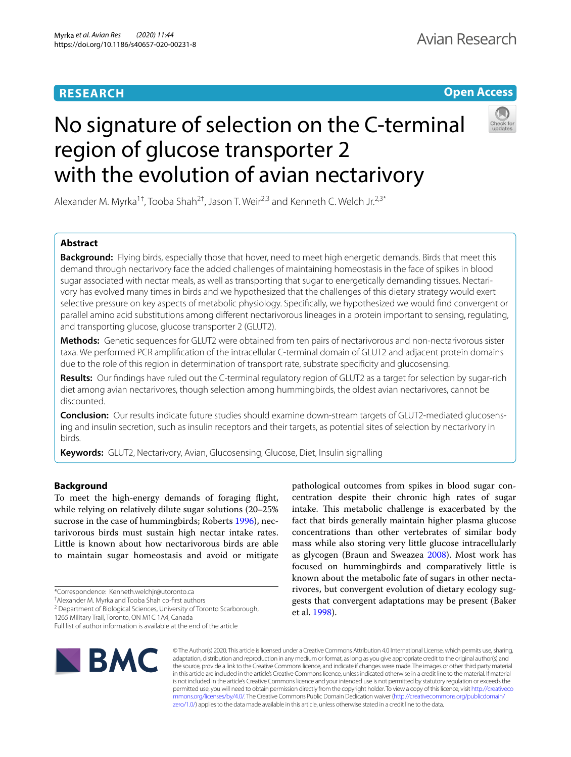# **RESEARCH**

# **Open Access**

# No signature of selection on the C-terminal region of glucose transporter 2 with the evolution of avian nectarivory



Alexander M. Myrka<sup>1†</sup>, Tooba Shah<sup>2†</sup>, Jason T. Weir<sup>2,3</sup> and Kenneth C. Welch Jr.<sup>2,3\*</sup>

## **Abstract**

**Background:** Flying birds, especially those that hover, need to meet high energetic demands. Birds that meet this demand through nectarivory face the added challenges of maintaining homeostasis in the face of spikes in blood sugar associated with nectar meals, as well as transporting that sugar to energetically demanding tissues. Nectarivory has evolved many times in birds and we hypothesized that the challenges of this dietary strategy would exert selective pressure on key aspects of metabolic physiology. Specifcally, we hypothesized we would fnd convergent or parallel amino acid substitutions among diferent nectarivorous lineages in a protein important to sensing, regulating, and transporting glucose, glucose transporter 2 (GLUT2).

**Methods:** Genetic sequences for GLUT2 were obtained from ten pairs of nectarivorous and non-nectarivorous sister taxa. We performed PCR amplifcation of the intracellular C-terminal domain of GLUT2 and adjacent protein domains due to the role of this region in determination of transport rate, substrate specifcity and glucosensing.

**Results:** Our fndings have ruled out the C-terminal regulatory region of GLUT2 as a target for selection by sugar-rich diet among avian nectarivores, though selection among hummingbirds, the oldest avian nectarivores, cannot be discounted.

**Conclusion:** Our results indicate future studies should examine down-stream targets of GLUT2-mediated glucosensing and insulin secretion, such as insulin receptors and their targets, as potential sites of selection by nectarivory in birds.

**Keywords:** GLUT2, Nectarivory, Avian, Glucosensing, Glucose, Diet, Insulin signalling

## **Background**

To meet the high-energy demands of foraging fight, while relying on relatively dilute sugar solutions (20–25%) sucrose in the case of hummingbirds; Roberts [1996\)](#page-10-0), nectarivorous birds must sustain high nectar intake rates. Little is known about how nectarivorous birds are able to maintain sugar homeostasis and avoid or mitigate

† Alexander M. Myrka and Tooba Shah co-frst authors

<sup>2</sup> Department of Biological Sciences, University of Toronto Scarborough,

1265 Military Trail, Toronto, ON M1C 1A4, Canada

Full list of author information is available at the end of the article



pathological outcomes from spikes in blood sugar concentration despite their chronic high rates of sugar intake. This metabolic challenge is exacerbated by the fact that birds generally maintain higher plasma glucose concentrations than other vertebrates of similar body mass while also storing very little glucose intracellularly as glycogen (Braun and Sweazea [2008\)](#page-9-0). Most work has focused on hummingbirds and comparatively little is known about the metabolic fate of sugars in other nectarivores, but convergent evolution of dietary ecology suggests that convergent adaptations may be present (Baker et al. [1998](#page-9-1)).

© The Author(s) 2020. This article is licensed under a Creative Commons Attribution 4.0 International License, which permits use, sharing, adaptation, distribution and reproduction in any medium or format, as long as you give appropriate credit to the original author(s) and the source, provide a link to the Creative Commons licence, and indicate if changes were made. The images or other third party material in this article are included in the article's Creative Commons licence, unless indicated otherwise in a credit line to the material. If material is not included in the article's Creative Commons licence and your intended use is not permitted by statutory regulation or exceeds the permitted use, you will need to obtain permission directly from the copyright holder. To view a copy of this licence, visit [http://creativeco](http://creativecommons.org/licenses/by/4.0/) [mmons.org/licenses/by/4.0/.](http://creativecommons.org/licenses/by/4.0/) The Creative Commons Public Domain Dedication waiver ([http://creativecommons.org/publicdomain/](http://creativecommons.org/publicdomain/zero/1.0/) [zero/1.0/\)](http://creativecommons.org/publicdomain/zero/1.0/) applies to the data made available in this article, unless otherwise stated in a credit line to the data.

<sup>\*</sup>Correspondence: Kenneth.welchjr@utoronto.ca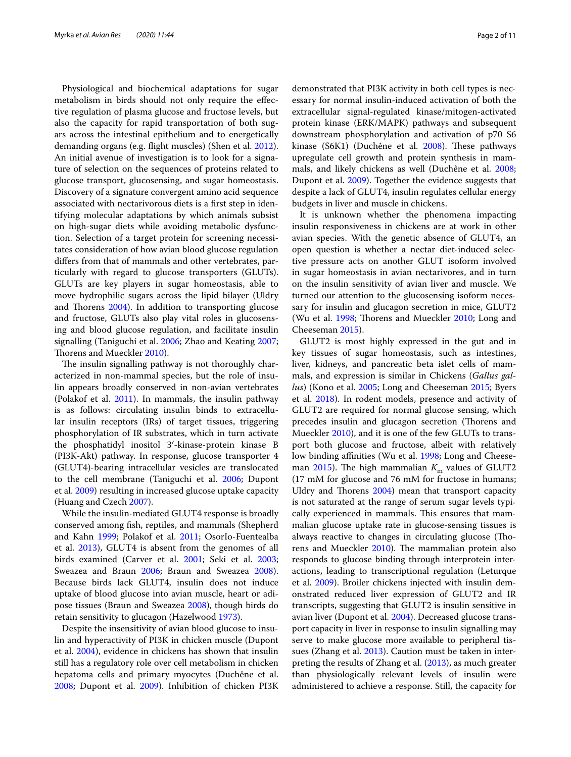Physiological and biochemical adaptations for sugar metabolism in birds should not only require the efective regulation of plasma glucose and fructose levels, but also the capacity for rapid transportation of both sugars across the intestinal epithelium and to energetically demanding organs (e.g. fight muscles) (Shen et al. [2012](#page-10-1)). An initial avenue of investigation is to look for a signature of selection on the sequences of proteins related to glucose transport, glucosensing, and sugar homeostasis. Discovery of a signature convergent amino acid sequence associated with nectarivorous diets is a frst step in identifying molecular adaptations by which animals subsist on high-sugar diets while avoiding metabolic dysfunction. Selection of a target protein for screening necessitates consideration of how avian blood glucose regulation difers from that of mammals and other vertebrates, particularly with regard to glucose transporters (GLUTs). GLUTs are key players in sugar homeostasis, able to move hydrophilic sugars across the lipid bilayer (Uldry and Thorens  $2004$ ). In addition to transporting glucose and fructose, GLUTs also play vital roles in glucosensing and blood glucose regulation, and facilitate insulin signalling (Taniguchi et al. [2006](#page-10-3); Zhao and Keating [2007](#page-10-4); Thorens and Mueckler [2010\)](#page-10-5).

The insulin signalling pathway is not thoroughly characterized in non-mammal species, but the role of insulin appears broadly conserved in non-avian vertebrates (Polakof et al. [2011](#page-10-6)). In mammals, the insulin pathway is as follows: circulating insulin binds to extracellular insulin receptors (IRs) of target tissues, triggering phosphorylation of IR substrates, which in turn activate the phosphatidyl inositol 3′-kinase-protein kinase B (PI3K-Akt) pathway. In response, glucose transporter 4 (GLUT4)-bearing intracellular vesicles are translocated to the cell membrane (Taniguchi et al. [2006;](#page-10-3) Dupont et al. [2009](#page-9-2)) resulting in increased glucose uptake capacity (Huang and Czech [2007](#page-9-3)).

While the insulin-mediated GLUT4 response is broadly conserved among fsh, reptiles, and mammals (Shepherd and Kahn [1999;](#page-10-7) Polakof et al. [2011](#page-10-6); OsorIo-Fuentealba et al. [2013](#page-10-8)), GLUT4 is absent from the genomes of all birds examined (Carver et al. [2001](#page-9-4); Seki et al. [2003](#page-10-9); Sweazea and Braun [2006](#page-10-10); Braun and Sweazea [2008](#page-9-0)). Because birds lack GLUT4, insulin does not induce uptake of blood glucose into avian muscle, heart or adipose tissues (Braun and Sweazea [2008\)](#page-9-0), though birds do retain sensitivity to glucagon (Hazelwood [1973\)](#page-9-5).

Despite the insensitivity of avian blood glucose to insulin and hyperactivity of PI3K in chicken muscle (Dupont et al. [2004\)](#page-9-6), evidence in chickens has shown that insulin still has a regulatory role over cell metabolism in chicken hepatoma cells and primary myocytes (Duchêne et al. [2008](#page-9-7); Dupont et al. [2009\)](#page-9-2). Inhibition of chicken PI3K demonstrated that PI3K activity in both cell types is necessary for normal insulin-induced activation of both the extracellular signal-regulated kinase/mitogen-activated protein kinase (ERK/MAPK) pathways and subsequent downstream phosphorylation and activation of p70 S6 kinase (S6K1) (Duchêne et al. [2008](#page-9-7)). These pathways upregulate cell growth and protein synthesis in mammals, and likely chickens as well (Duchêne et al. [2008](#page-9-7); Dupont et al. [2009](#page-9-2)). Together the evidence suggests that despite a lack of GLUT4, insulin regulates cellular energy budgets in liver and muscle in chickens.

It is unknown whether the phenomena impacting insulin responsiveness in chickens are at work in other avian species. With the genetic absence of GLUT4, an open question is whether a nectar diet-induced selective pressure acts on another GLUT isoform involved in sugar homeostasis in avian nectarivores, and in turn on the insulin sensitivity of avian liver and muscle. We turned our attention to the glucosensing isoform necessary for insulin and glucagon secretion in mice, GLUT2 (Wu et al. [1998;](#page-10-11) Thorens and Mueckler [2010](#page-10-5); Long and Cheeseman [2015](#page-9-8)).

GLUT2 is most highly expressed in the gut and in key tissues of sugar homeostasis, such as intestines, liver, kidneys, and pancreatic beta islet cells of mammals, and expression is similar in Chickens (*Gallus gallus*) (Kono et al. [2005;](#page-9-9) Long and Cheeseman [2015](#page-9-8); Byers et al. [2018](#page-9-10)). In rodent models, presence and activity of GLUT2 are required for normal glucose sensing, which precedes insulin and glucagon secretion (Thorens and Mueckler [2010](#page-10-5)), and it is one of the few GLUTs to transport both glucose and fructose, albeit with relatively low binding affinities (Wu et al. [1998](#page-10-11); Long and Cheese-man [2015](#page-9-8)). The high mammalian  $K<sub>m</sub>$  values of GLUT2 (17 mM for glucose and 76 mM for fructose in humans; Uldry and Thorens  $2004$ ) mean that transport capacity is not saturated at the range of serum sugar levels typically experienced in mammals. This ensures that mammalian glucose uptake rate in glucose-sensing tissues is always reactive to changes in circulating glucose (Tho-rens and Mueckler [2010\)](#page-10-5). The mammalian protein also responds to glucose binding through interprotein interactions, leading to transcriptional regulation (Leturque et al. [2009](#page-9-11)). Broiler chickens injected with insulin demonstrated reduced liver expression of GLUT2 and IR transcripts, suggesting that GLUT2 is insulin sensitive in avian liver (Dupont et al. [2004](#page-9-6)). Decreased glucose transport capacity in liver in response to insulin signalling may serve to make glucose more available to peripheral tissues (Zhang et al. [2013\)](#page-10-12). Caution must be taken in interpreting the results of Zhang et al. ([2013\)](#page-10-12), as much greater than physiologically relevant levels of insulin were administered to achieve a response. Still, the capacity for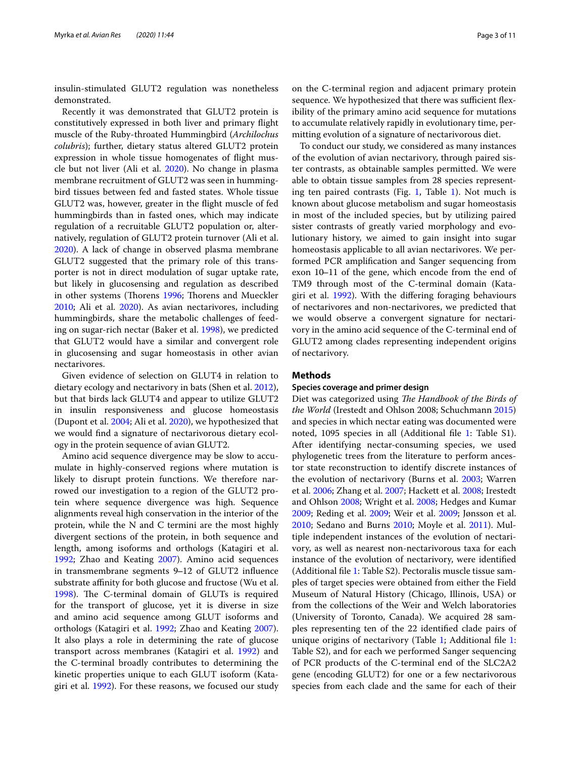insulin-stimulated GLUT2 regulation was nonetheless demonstrated.

Recently it was demonstrated that GLUT2 protein is constitutively expressed in both liver and primary fight muscle of the Ruby-throated Hummingbird (*Archilochus colubris*); further, dietary status altered GLUT2 protein expression in whole tissue homogenates of fight muscle but not liver (Ali et al. [2020\)](#page-9-12). No change in plasma membrane recruitment of GLUT2 was seen in hummingbird tissues between fed and fasted states. Whole tissue GLUT2 was, however, greater in the fight muscle of fed hummingbirds than in fasted ones, which may indicate regulation of a recruitable GLUT2 population or, alternatively, regulation of GLUT2 protein turnover (Ali et al. [2020](#page-9-12)). A lack of change in observed plasma membrane GLUT2 suggested that the primary role of this transporter is not in direct modulation of sugar uptake rate, but likely in glucosensing and regulation as described in other systems (Thorens [1996;](#page-10-13) Thorens and Mueckler [2010](#page-10-5); Ali et al. [2020](#page-9-12)). As avian nectarivores, including hummingbirds, share the metabolic challenges of feeding on sugar-rich nectar (Baker et al. [1998\)](#page-9-1), we predicted that GLUT2 would have a similar and convergent role in glucosensing and sugar homeostasis in other avian nectarivores.

Given evidence of selection on GLUT4 in relation to dietary ecology and nectarivory in bats (Shen et al. [2012](#page-10-1)), but that birds lack GLUT4 and appear to utilize GLUT2 in insulin responsiveness and glucose homeostasis (Dupont et al. [2004;](#page-9-6) Ali et al. [2020](#page-9-12)), we hypothesized that we would fnd a signature of nectarivorous dietary ecology in the protein sequence of avian GLUT2.

Amino acid sequence divergence may be slow to accumulate in highly-conserved regions where mutation is likely to disrupt protein functions. We therefore narrowed our investigation to a region of the GLUT2 protein where sequence divergence was high. Sequence alignments reveal high conservation in the interior of the protein, while the N and C termini are the most highly divergent sections of the protein, in both sequence and length, among isoforms and orthologs (Katagiri et al. [1992](#page-9-13); Zhao and Keating [2007\)](#page-10-4). Amino acid sequences in transmembrane segments 9–12 of GLUT2 influence substrate affinity for both glucose and fructose (Wu et al. [1998](#page-10-11)). The C-terminal domain of GLUTs is required for the transport of glucose, yet it is diverse in size and amino acid sequence among GLUT isoforms and orthologs (Katagiri et al. [1992;](#page-9-13) Zhao and Keating [2007](#page-10-4)). It also plays a role in determining the rate of glucose transport across membranes (Katagiri et al. [1992\)](#page-9-13) and the C-terminal broadly contributes to determining the kinetic properties unique to each GLUT isoform (Katagiri et al. [1992](#page-9-13)). For these reasons, we focused our study on the C-terminal region and adjacent primary protein sequence. We hypothesized that there was sufficient flexibility of the primary amino acid sequence for mutations to accumulate relatively rapidly in evolutionary time, permitting evolution of a signature of nectarivorous diet.

To conduct our study, we considered as many instances of the evolution of avian nectarivory, through paired sister contrasts, as obtainable samples permitted. We were able to obtain tissue samples from 28 species representing ten paired contrasts (Fig. [1,](#page-3-0) Table [1](#page-4-0)). Not much is known about glucose metabolism and sugar homeostasis in most of the included species, but by utilizing paired sister contrasts of greatly varied morphology and evolutionary history, we aimed to gain insight into sugar homeostasis applicable to all avian nectarivores. We performed PCR amplifcation and Sanger sequencing from exon 10–11 of the gene, which encode from the end of TM9 through most of the C-terminal domain (Katagiri et al. [1992\)](#page-9-13). With the difering foraging behaviours of nectarivores and non-nectarivores, we predicted that we would observe a convergent signature for nectarivory in the amino acid sequence of the C-terminal end of GLUT2 among clades representing independent origins of nectarivory.

## **Methods**

#### **Species coverage and primer design**

Diet was categorized using *The Handbook of the Birds of the World* (Irestedt and Ohlson 2008; Schuchmann [2015](#page-10-14)) and species in which nectar eating was documented were noted, 1095 species in all (Additional fle [1](#page-8-0): Table S1). After identifying nectar-consuming species, we used phylogenetic trees from the literature to perform ancestor state reconstruction to identify discrete instances of the evolution of nectarivory (Burns et al. [2003](#page-9-14); Warren et al. [2006](#page-10-15); Zhang et al. [2007](#page-10-16); Hackett et al. [2008](#page-9-15); Irestedt and Ohlson [2008](#page-9-16); Wright et al. [2008](#page-10-17); Hedges and Kumar [2009](#page-9-17); Reding et al. [2009](#page-10-18); Weir et al. [2009](#page-10-19); Jønsson et al. [2010](#page-9-18); Sedano and Burns [2010](#page-10-20); Moyle et al. [2011](#page-10-21)). Multiple independent instances of the evolution of nectarivory, as well as nearest non-nectarivorous taxa for each instance of the evolution of nectarivory, were identifed (Additional fle [1](#page-8-0): Table S2). Pectoralis muscle tissue samples of target species were obtained from either the Field Museum of Natural History (Chicago, Illinois, USA) or from the collections of the Weir and Welch laboratories (University of Toronto, Canada). We acquired 28 samples representing ten of the 22 identifed clade pairs of unique origins of nectarivory (Table [1](#page-4-0); Additional fle [1](#page-8-0): Table S2), and for each we performed Sanger sequencing of PCR products of the C-terminal end of the SLC2A2 gene (encoding GLUT2) for one or a few nectarivorous species from each clade and the same for each of their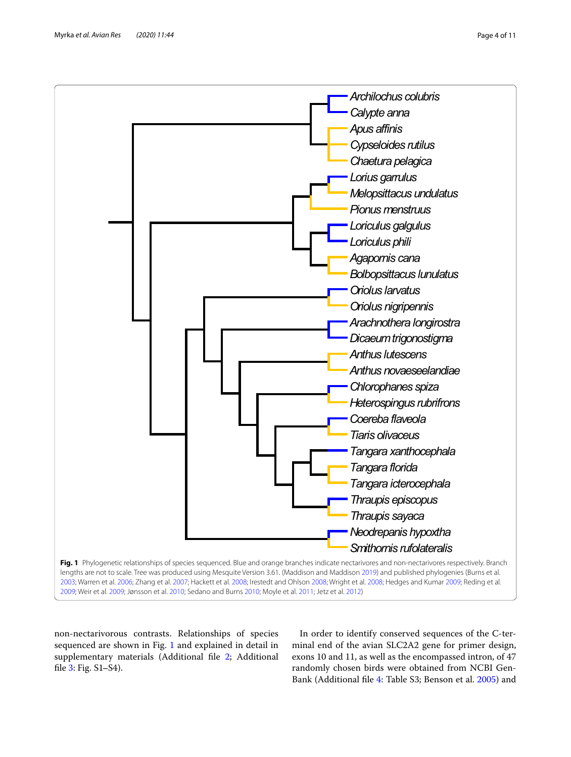

<span id="page-3-0"></span>non-nectarivorous contrasts. Relationships of species sequenced are shown in Fig. [1](#page-3-0) and explained in detail in supplementary materials (Additional file [2;](#page-8-1) Additional file [3](#page-8-2): Fig. S1-S4).

In order to identify conserved sequences of the C-terminal end of the avian SLC2A2 gene for primer design, exons 10 and 11, as well as the encompassed intron, of 47 randomly chosen birds were obtained from NCBI Gen-Bank (Additional fle [4:](#page-9-19) Table S3; Benson et al. [2005\)](#page-9-20) and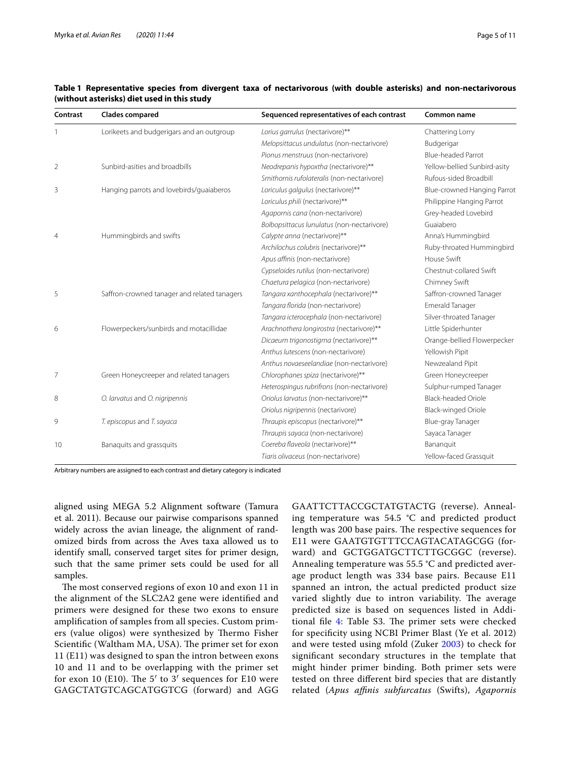| Contrast       | <b>Clades compared</b>                       | Sequenced representatives of each contrast | Common name                  |
|----------------|----------------------------------------------|--------------------------------------------|------------------------------|
|                | Lorikeets and budgerigars and an outgroup    | Lorius garrulus (nectarivore)**            | Chattering Lorry             |
|                |                                              | Melopsittacus undulatus (non-nectarivore)  | Budgerigar                   |
|                |                                              | Pionus menstruus (non-nectarivore)         | Blue-headed Parrot           |
| $\overline{2}$ | Sunbird-asities and broadbills               | Neodrepanis hypoxtha (nectarivore)**       | Yellow-bellied Sunbird-asity |
|                |                                              | Smithornis rufolateralis (non-nectarivore) | Rufous-sided Broadbill       |
| 3              | Hanging parrots and lovebirds/guaiaberos     | Loriculus galgulus (nectarivore)**         | Blue-crowned Hanging Parrot  |
|                |                                              | Loriculus phili (nectarivore)**            | Philippine Hanging Parrot    |
|                |                                              | Agapornis cana (non-nectarivore)           | Grey-headed Lovebird         |
|                |                                              | Bolbopsittacus lunulatus (non-nectarivore) | Guaiabero                    |
| $\overline{4}$ | Hummingbirds and swifts                      | Calypte anna (nectarivore)**               | Anna's Hummingbird           |
|                |                                              | Archilochus colubris (nectarivore)**       | Ruby-throated Hummingbird    |
|                |                                              | Apus affinis (non-nectarivore)             | House Swift                  |
|                |                                              | Cypseloides rutilus (non-nectarivore)      | Chestnut-collared Swift      |
|                |                                              | Chaetura pelagica (non-nectarivore)        | Chimney Swift                |
| 5              | Saffron-crowned tanager and related tanagers | Tangara xanthocephala (nectarivore)**      | Saffron-crowned Tanager      |
|                |                                              | Tangara florida (non-nectarivore)          | Emerald Tanager              |
|                |                                              | Tangara icterocephala (non-nectarivore)    | Silver-throated Tanager      |
| 6              | Flowerpeckers/sunbirds and motacillidae      | Arachnothera longirostra (nectarivore)**   | Little Spiderhunter          |
|                |                                              | Dicaeum trigonostigma (nectarivore)**      | Orange-bellied Flowerpecker  |
|                |                                              | Anthus lutescens (non-nectarivore)         | Yellowish Pipit              |
|                |                                              | Anthus novaeseelandiae (non-nectarivore)   | Newzealand Pipit             |
| $\overline{7}$ | Green Honeycreeper and related tanagers      | Chlorophanes spiza (nectarivore)**         | Green Honeycreeper           |
|                |                                              | Heterospingus rubrifrons (non-nectarivore) | Sulphur-rumped Tanager       |
| 8              | O. larvatus and O. nigripennis               | Oriolus larvatus (non-nectarivore)**       | <b>Black-headed Oriole</b>   |
|                |                                              | Oriolus nigripennis (nectarivore)          | Black-winged Oriole          |
| 9              | T. episcopus and T. sayaca                   | Thraupis episcopus (nectarivore)**         | Blue-gray Tanager            |
|                |                                              | Thraupis sayaca (non-nectarivore)          | Sayaca Tanager               |
| 10             | Banaquits and grassquits                     | Coereba flaveola (nectarivore)**           | Bananquit                    |
|                |                                              | Tiaris olivaceus (non-nectarivore)         | Yellow-faced Grassquit       |

## <span id="page-4-0"></span>**Table 1 Representative species from divergent taxa of nectarivorous (with double asterisks) and non-nectarivorous (without asterisks) diet used in this study**

Arbitrary numbers are assigned to each contrast and dietary category is indicated

aligned using MEGA 5.2 Alignment software (Tamura et al. 2011). Because our pairwise comparisons spanned widely across the avian lineage, the alignment of randomized birds from across the Aves taxa allowed us to identify small, conserved target sites for primer design, such that the same primer sets could be used for all samples.

The most conserved regions of exon 10 and exon 11 in the alignment of the SLC2A2 gene were identifed and primers were designed for these two exons to ensure amplifcation of samples from all species. Custom primers (value oligos) were synthesized by Thermo Fisher Scientific (Waltham MA, USA). The primer set for exon 11 (E11) was designed to span the intron between exons 10 and 11 and to be overlapping with the primer set for exon 10 (E10). The  $5'$  to  $3'$  sequences for E10 were GAGCTATGTCAGCATGGTCG (forward) and AGG GAATTCTTACCGCTATGTACTG (reverse). Annealing temperature was 54.5 °C and predicted product length was 200 base pairs. The respective sequences for E11 were GAATGTGTTTCCAGTACATAGCGG (forward) and GCTGGATGCTTCTTGCGGC (reverse). Annealing temperature was 55.5 °C and predicted average product length was 334 base pairs. Because E11 spanned an intron, the actual predicted product size varied slightly due to intron variability. The average predicted size is based on sequences listed in Addi-tional file [4:](#page-9-19) Table S3. The primer sets were checked for specifcity using NCBI Primer Blast (Ye et al. 2012) and were tested using mfold (Zuker [2003\)](#page-10-23) to check for signifcant secondary structures in the template that might hinder primer binding. Both primer sets were tested on three diferent bird species that are distantly related (*Apus afnis subfurcatus* (Swifts), *Agapornis*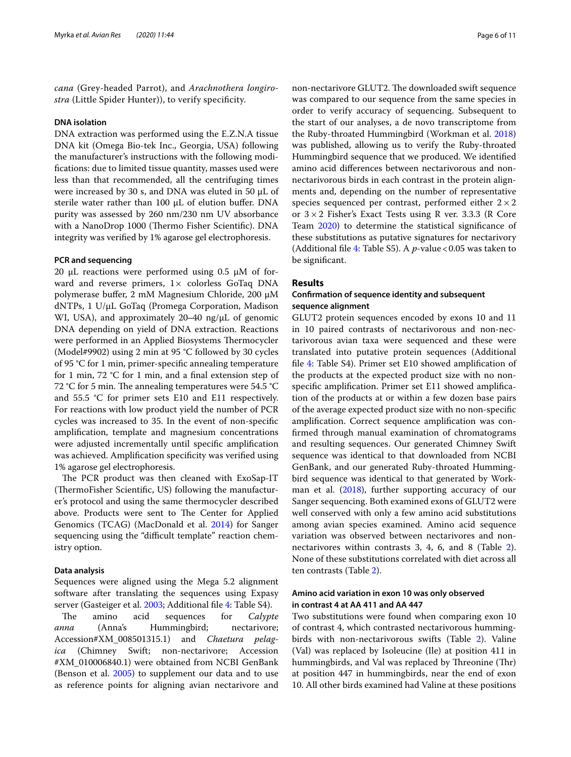*cana* (Grey-headed Parrot), and *Arachnothera longirostra* (Little Spider Hunter)), to verify specifcity.

#### **DNA isolation**

DNA extraction was performed using the E.Z.N.A tissue DNA kit (Omega Bio-tek Inc., Georgia, USA) following the manufacturer's instructions with the following modifcations: due to limited tissue quantity, masses used were less than that recommended, all the centrifuging times were increased by 30 s, and DNA was eluted in 50 μL of sterile water rather than 100  $\mu$ L of elution buffer. DNA purity was assessed by 260 nm/230 nm UV absorbance with a NanoDrop 1000 (Thermo Fisher Scientific). DNA integrity was verifed by 1% agarose gel electrophoresis.

#### **PCR and sequencing**

20 μL reactions were performed using 0.5 μM of forward and reverse primers,  $1 \times$  colorless GoTaq DNA polymerase bufer, 2 mM Magnesium Chloride, 200 μM dNTPs, 1 U/μL GoTaq (Promega Corporation, Madison WI, USA), and approximately 20-40 ng/μL of genomic DNA depending on yield of DNA extraction. Reactions were performed in an Applied Biosystems Thermocycler (Model#9902) using 2 min at 95 °C followed by 30 cycles of 95 °C for 1 min, primer-specifc annealing temperature for 1 min, 72 °C for 1 min, and a fnal extension step of 72 °C for 5 min. The annealing temperatures were 54.5 °C and 55.5 °C for primer sets E10 and E11 respectively. For reactions with low product yield the number of PCR cycles was increased to 35. In the event of non-specifc amplifcation, template and magnesium concentrations were adjusted incrementally until specifc amplifcation was achieved. Amplifcation specifcity was verifed using 1% agarose gel electrophoresis.

The PCR product was then cleaned with ExoSap-IT (ThermoFisher Scientific, US) following the manufacturer's protocol and using the same thermocycler described above. Products were sent to The Center for Applied Genomics (TCAG) (MacDonald et al. [2014\)](#page-10-24) for Sanger sequencing using the "difficult template" reaction chemistry option.

#### **Data analysis**

Sequences were aligned using the Mega 5.2 alignment software after translating the sequences using Expasy server (Gasteiger et al. [2003;](#page-9-22) Additional fle [4:](#page-9-19) Table S4).

The amino acid sequences for *Calypte anna* (Anna's Hummingbird; nectarivore; Accession#XM\_008501315.1) and *Chaetura pelagica* (Chimney Swift; non-nectarivore; Accession #XM\_010006840.1) were obtained from NCBI GenBank (Benson et al. [2005\)](#page-9-20) to supplement our data and to use as reference points for aligning avian nectarivore and non-nectarivore GLUT2. The downloaded swift sequence was compared to our sequence from the same species in order to verify accuracy of sequencing. Subsequent to the start of our analyses, a de novo transcriptome from the Ruby-throated Hummingbird (Workman et al. [2018](#page-10-25)) was published, allowing us to verify the Ruby-throated Hummingbird sequence that we produced. We identifed amino acid diferences between nectarivorous and nonnectarivorous birds in each contrast in the protein alignments and, depending on the number of representative species sequenced per contrast, performed either  $2 \times 2$ or  $3 \times 2$  Fisher's Exact Tests using R ver. 3.3.3 (R Core Team [2020](#page-10-26)) to determine the statistical signifcance of these substitutions as putative signatures for nectarivory (Additional file [4:](#page-9-19) Table S5). A  $p$ -value < 0.05 was taken to be signifcant.

## **Results**

## **Confrmation of sequence identity and subsequent sequence alignment**

GLUT2 protein sequences encoded by exons 10 and 11 in 10 paired contrasts of nectarivorous and non-nectarivorous avian taxa were sequenced and these were translated into putative protein sequences (Additional fle [4](#page-9-19): Table S4). Primer set E10 showed amplifcation of the products at the expected product size with no nonspecifc amplifcation. Primer set E11 showed amplifcation of the products at or within a few dozen base pairs of the average expected product size with no non-specifc amplifcation. Correct sequence amplifcation was confrmed through manual examination of chromatograms and resulting sequences. Our generated Chimney Swift sequence was identical to that downloaded from NCBI GenBank, and our generated Ruby-throated Hummingbird sequence was identical to that generated by Work-man et al. [\(2018](#page-10-25)), further supporting accuracy of our Sanger sequencing. Both examined exons of GLUT2 were well conserved with only a few amino acid substitutions among avian species examined. Amino acid sequence variation was observed between nectarivores and nonnectarivores within contrasts 3, 4, 6, and 8 (Table [2](#page-6-0)). None of these substitutions correlated with diet across all ten contrasts (Table [2\)](#page-6-0).

## **Amino acid variation in exon 10 was only observed in contrast 4 at AA 411 and AA 447**

Two substitutions were found when comparing exon 10 of contrast 4, which contrasted nectarivorous hummingbirds with non-nectarivorous swifts (Table [2\)](#page-6-0). Valine (Val) was replaced by Isoleucine (Ile) at position 411 in hummingbirds, and Val was replaced by Threonine (Thr) at position 447 in hummingbirds, near the end of exon 10. All other birds examined had Valine at these positions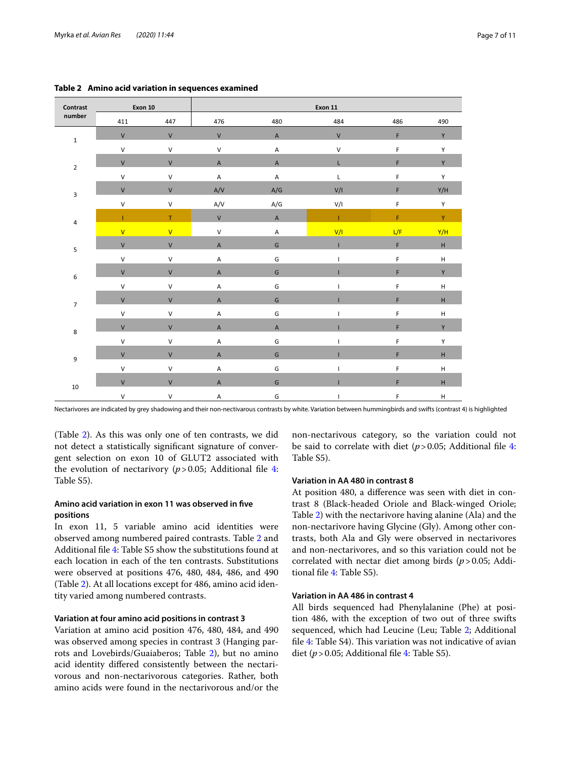| Page 7 of 11 |  |  |
|--------------|--|--|
|--------------|--|--|

| Contrast<br>number | Exon 10        |                | Exon 11        |                           |              |     |             |
|--------------------|----------------|----------------|----------------|---------------------------|--------------|-----|-------------|
|                    | 411            | 447            | 476            | 480                       | 484          | 486 | 490         |
| $\mathbf 1$        | $\mathsf{V}$   | $\mathsf{V}$   | $\mathsf{V}$   | $\mathsf A$               | $\sf V$      | F   | Y           |
|                    | $\mathsf{V}$   | $\vee$         | $\mathsf{V}$   | $\boldsymbol{\mathsf{A}}$ | $\mathsf{V}$ | F   | Y           |
| $\overline{2}$     | $\vee$         | $\mathsf{V}$   | $\mathsf A$    | $\overline{A}$            | L            | F.  | Y           |
|                    | $\vee$         | $\mathsf{V}$   | A              | А                         | Г            | F.  | Y           |
| $\overline{3}$     | $\mathsf{V}$   | $\mathsf{V}$   | A/V            | $\mathsf{A}/\mathsf{G}$   | V/I          | F   | Y/H         |
|                    | $\mathsf{V}$   | $\mathsf{V}$   | A/V            | A/G                       | V/I          | F   | Y           |
| $\overline{4}$     | T              | T.             | $\mathsf{V}$   | $\mathsf A$               | T.           | F.  | Y.          |
|                    | $\overline{V}$ | $\overline{V}$ | $\mathsf{V}$   | А                         | V/I          | L/F | Y/H         |
| 5                  | $\sf V$        | $\mathsf{V}$   | $\mathsf A$    | G                         | $\mathbf{I}$ | F   | H           |
|                    | $\mathsf{V}$   | $\mathsf{V}$   | А              | G                         | $\mathbf{I}$ | F   | $\mathsf H$ |
| 6                  | $\mathsf{V}$   | ${\sf V}$      | $\mathsf A$    | ${\mathsf G}$             | п            | F   | Y           |
|                    | $\mathsf{V}$   | $\vee$         | A              | G                         | f,           | F   | $\mathsf H$ |
| $\overline{7}$     | $\sf V$        | $\mathsf{V}$   | $\mathsf A$    | G                         |              | F   | Н           |
|                    | $\mathsf{V}$   | $\sf V$        | А              | G                         | T            | F   | H           |
| 8                  | $\mathsf{V}$   | $\mathsf{V}$   | $\overline{A}$ | $\overline{A}$            |              | F.  | Y           |
|                    | $\mathsf{V}$   | $\mathsf{V}$   | A              | G                         | $\mathbf{I}$ | F   | Y           |
| 9                  | $\vee$         | $\mathsf{V}$   | $\mathsf A$    | G                         | т            | F   | H           |
|                    | $\mathsf{V}$   | $\sf V$        | A              | G                         |              | F   | H           |
| 10                 | $\mathsf{V}$   | $\mathsf{V}$   | $\mathsf A$    | G                         |              | F.  | H           |
|                    | $\mathsf{V}$   | $\sf V$        | $\mathsf A$    | G                         | $\mathbf{I}$ | F   | $\mathsf H$ |

<span id="page-6-0"></span>**Table 2 Amino acid variation in sequences examined** 

Nectarivores are indicated by grey shadowing and their non-nectivarous contrasts by white. Variation between hummingbirds and swifts (contrast 4) is highlighted

(Table [2\)](#page-6-0). As this was only one of ten contrasts, we did not detect a statistically signifcant signature of convergent selection on exon 10 of GLUT2 associated with the evolution of nectarivory  $(p>0.05;$  Additional file [4](#page-9-19): Table S5).

## **Amino acid variation in exon 11 was observed in fve positions**

In exon 11, 5 variable amino acid identities were observed among numbered paired contrasts. Table [2](#page-6-0) and Additional fle [4:](#page-9-19) Table S5 show the substitutions found at each location in each of the ten contrasts. Substitutions were observed at positions 476, 480, 484, 486, and 490 (Table [2](#page-6-0)). At all locations except for 486, amino acid identity varied among numbered contrasts.

## **Variation at four amino acid positions in contrast 3**

Variation at amino acid position 476, 480, 484, and 490 was observed among species in contrast 3 (Hanging parrots and Lovebirds/Guaiaberos; Table [2](#page-6-0)), but no amino acid identity difered consistently between the nectarivorous and non-nectarivorous categories. Rather, both amino acids were found in the nectarivorous and/or the non-nectarivous category, so the variation could not be said to correlate with diet (*p*>0.05; Additional fle [4](#page-9-19): Table S5).

## **Variation in AA 480 in contrast 8**

At position 480, a diference was seen with diet in contrast 8 (Black-headed Oriole and Black-winged Oriole; Table [2](#page-6-0)) with the nectarivore having alanine (Ala) and the non-nectarivore having Glycine (Gly). Among other contrasts, both Ala and Gly were observed in nectarivores and non-nectarivores, and so this variation could not be correlated with nectar diet among birds (*p*>0.05; Additional fle [4](#page-9-19): Table S5).

## **Variation in AA 486 in contrast 4**

All birds sequenced had Phenylalanine (Phe) at position 486, with the exception of two out of three swifts sequenced, which had Leucine (Leu; Table [2;](#page-6-0) Additional file [4](#page-9-19): Table S4). This variation was not indicative of avian diet (*p* > 0.05; Additional file [4:](#page-9-19) Table S5).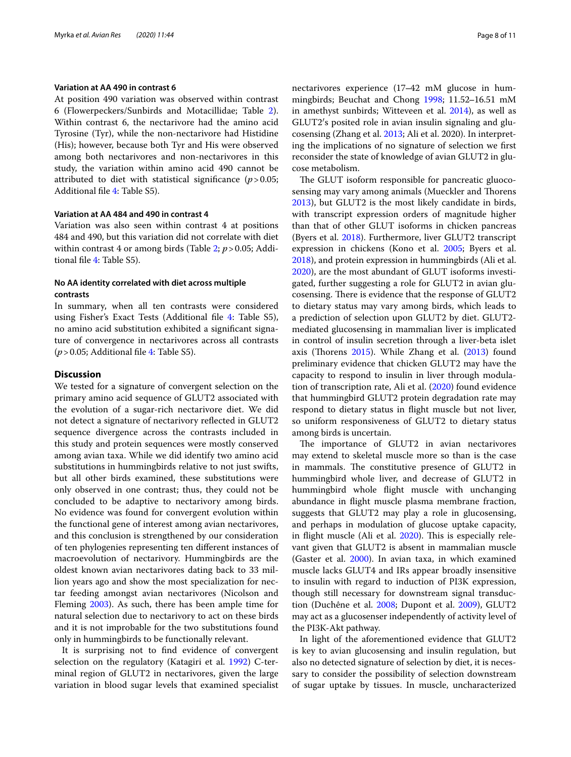#### **Variation at AA 490 in contrast 6**

At position 490 variation was observed within contrast 6 (Flowerpeckers/Sunbirds and Motacillidae; Table [2](#page-6-0)). Within contrast 6, the nectarivore had the amino acid Tyrosine (Tyr), while the non-nectarivore had Histidine (His); however, because both Tyr and His were observed among both nectarivores and non-nectarivores in this study, the variation within amino acid 490 cannot be attributed to diet with statistical signifcance (*p*>0.05; Additional fle [4](#page-9-19): Table S5).

## **Variation at AA 484 and 490 in contrast 4**

Variation was also seen within contrast 4 at positions 484 and 490, but this variation did not correlate with diet within contrast 4 or among birds (Table [2](#page-6-0); *p* > 0.05; Additional fle [4](#page-9-19): Table S5).

## **No AA identity correlated with diet across multiple contrasts**

In summary, when all ten contrasts were considered using Fisher's Exact Tests (Additional fle [4](#page-9-19): Table S5), no amino acid substitution exhibited a signifcant signature of convergence in nectarivores across all contrasts (*p*>0.05; Additional fle [4:](#page-9-19) Table S5).

## **Discussion**

We tested for a signature of convergent selection on the primary amino acid sequence of GLUT2 associated with the evolution of a sugar-rich nectarivore diet. We did not detect a signature of nectarivory refected in GLUT2 sequence divergence across the contrasts included in this study and protein sequences were mostly conserved among avian taxa. While we did identify two amino acid substitutions in hummingbirds relative to not just swifts, but all other birds examined, these substitutions were only observed in one contrast; thus, they could not be concluded to be adaptive to nectarivory among birds. No evidence was found for convergent evolution within the functional gene of interest among avian nectarivores, and this conclusion is strengthened by our consideration of ten phylogenies representing ten diferent instances of macroevolution of nectarivory. Hummingbirds are the oldest known avian nectarivores dating back to 33 million years ago and show the most specialization for nectar feeding amongst avian nectarivores (Nicolson and Fleming [2003](#page-10-27)). As such, there has been ample time for natural selection due to nectarivory to act on these birds and it is not improbable for the two substitutions found only in hummingbirds to be functionally relevant.

It is surprising not to fnd evidence of convergent selection on the regulatory (Katagiri et al. [1992](#page-9-13)) C-terminal region of GLUT2 in nectarivores, given the large variation in blood sugar levels that examined specialist nectarivores experience (17-42 mM glucose in hum-mingbirds; Beuchat and Chong [1998;](#page-9-23) 11.52-16.51 mM in amethyst sunbirds; Witteveen et al. [2014\)](#page-10-28), as well as GLUT2′s posited role in avian insulin signaling and glucosensing (Zhang et al. [2013](#page-10-12); Ali et al. 2020). In interpreting the implications of no signature of selection we frst reconsider the state of knowledge of avian GLUT2 in glucose metabolism.

The GLUT isoform responsible for pancreatic gluocosensing may vary among animals (Mueckler and Thorens [2013](#page-10-29)), but GLUT2 is the most likely candidate in birds, with transcript expression orders of magnitude higher than that of other GLUT isoforms in chicken pancreas (Byers et al. [2018](#page-9-10)). Furthermore, liver GLUT2 transcript expression in chickens (Kono et al. [2005;](#page-9-9) Byers et al. [2018](#page-9-10)), and protein expression in hummingbirds (Ali et al. [2020](#page-9-12)), are the most abundant of GLUT isoforms investigated, further suggesting a role for GLUT2 in avian glucosensing. There is evidence that the response of GLUT2 to dietary status may vary among birds, which leads to a prediction of selection upon GLUT2 by diet. GLUT2 mediated glucosensing in mammalian liver is implicated in control of insulin secretion through a liver-beta islet axis (Thorens [2015\)](#page-10-30). While Zhang et al.  $(2013)$  $(2013)$  found preliminary evidence that chicken GLUT2 may have the capacity to respond to insulin in liver through modulation of transcription rate, Ali et al. ([2020](#page-9-12)) found evidence that hummingbird GLUT2 protein degradation rate may respond to dietary status in fight muscle but not liver, so uniform responsiveness of GLUT2 to dietary status among birds is uncertain.

The importance of GLUT2 in avian nectarivores may extend to skeletal muscle more so than is the case in mammals. The constitutive presence of GLUT2 in hummingbird whole liver, and decrease of GLUT2 in hummingbird whole fight muscle with unchanging abundance in fight muscle plasma membrane fraction, suggests that GLUT2 may play a role in glucosensing, and perhaps in modulation of glucose uptake capacity, in flight muscle (Ali et al.  $2020$ ). This is especially relevant given that GLUT2 is absent in mammalian muscle (Gaster et al. [2000\)](#page-9-24). In avian taxa, in which examined muscle lacks GLUT4 and IRs appear broadly insensitive to insulin with regard to induction of PI3K expression, though still necessary for downstream signal transduction (Duchêne et al. [2008;](#page-9-7) Dupont et al. [2009\)](#page-9-2), GLUT2 may act as a glucosenser independently of activity level of the PI3K-Akt pathway.

In light of the aforementioned evidence that GLUT2 is key to avian glucosensing and insulin regulation, but also no detected signature of selection by diet, it is necessary to consider the possibility of selection downstream of sugar uptake by tissues. In muscle, uncharacterized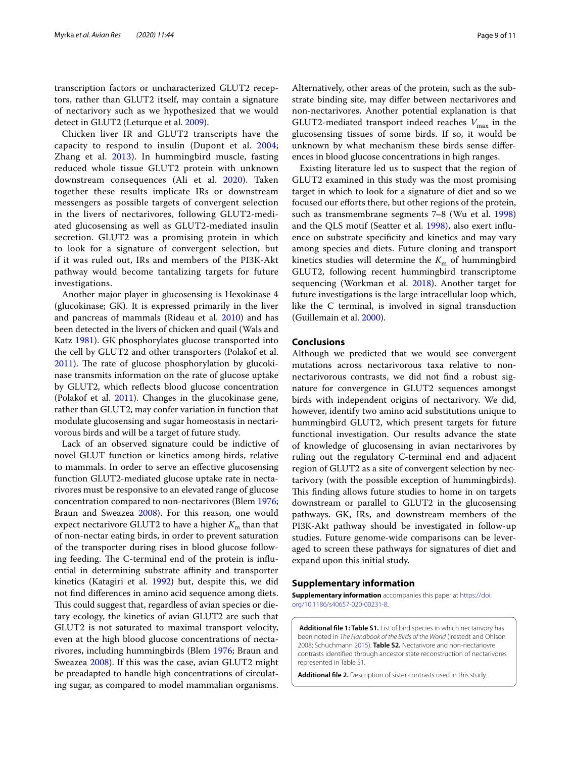transcription factors or uncharacterized GLUT2 receptors, rather than GLUT2 itself, may contain a signature of nectarivory such as we hypothesized that we would detect in GLUT2 (Leturque et al. [2009\)](#page-9-11).

Chicken liver IR and GLUT2 transcripts have the capacity to respond to insulin (Dupont et al. [2004](#page-9-6); Zhang et al. [2013](#page-10-12)). In hummingbird muscle, fasting reduced whole tissue GLUT2 protein with unknown downstream consequences (Ali et al. [2020](#page-9-12)). Taken together these results implicate IRs or downstream messengers as possible targets of convergent selection in the livers of nectarivores, following GLUT2-mediated glucosensing as well as GLUT2-mediated insulin secretion. GLUT2 was a promising protein in which to look for a signature of convergent selection, but if it was ruled out, IRs and members of the PI3K-Akt pathway would become tantalizing targets for future investigations.

Another major player in glucosensing is Hexokinase 4 (glucokinase; GK). It is expressed primarily in the liver and pancreas of mammals (Rideau et al. [2010\)](#page-10-31) and has been detected in the livers of chicken and quail (Wals and Katz [1981](#page-10-32)). GK phosphorylates glucose transported into the cell by GLUT2 and other transporters (Polakof et al.  $2011$ ). The rate of glucose phosphorylation by glucokinase transmits information on the rate of glucose uptake by GLUT2, which refects blood glucose concentration (Polakof et al. [2011](#page-10-6)). Changes in the glucokinase gene, rather than GLUT2, may confer variation in function that modulate glucosensing and sugar homeostasis in nectarivorous birds and will be a target of future study.

Lack of an observed signature could be indictive of novel GLUT function or kinetics among birds, relative to mammals. In order to serve an efective glucosensing function GLUT2-mediated glucose uptake rate in nectarivores must be responsive to an elevated range of glucose concentration compared to non-nectarivores (Blem [1976](#page-9-25); Braun and Sweazea [2008](#page-9-0)). For this reason, one would expect nectarivore GLUT2 to have a higher  $K<sub>m</sub>$  than that of non-nectar eating birds, in order to prevent saturation of the transporter during rises in blood glucose following feeding. The C-terminal end of the protein is influential in determining substrate affinity and transporter kinetics (Katagiri et al. [1992](#page-9-13)) but, despite this, we did not fnd diferences in amino acid sequence among diets. This could suggest that, regardless of avian species or dietary ecology, the kinetics of avian GLUT2 are such that GLUT2 is not saturated to maximal transport velocity, even at the high blood glucose concentrations of nectarivores, including hummingbirds (Blem [1976](#page-9-25); Braun and Sweazea [2008\)](#page-9-0). If this was the case, avian GLUT2 might be preadapted to handle high concentrations of circulating sugar, as compared to model mammalian organisms.

Alternatively, other areas of the protein, such as the substrate binding site, may difer between nectarivores and non-nectarivores. Another potential explanation is that GLUT2-mediated transport indeed reaches  $V_{\text{max}}$  in the glucosensing tissues of some birds. If so, it would be unknown by what mechanism these birds sense diferences in blood glucose concentrations in high ranges.

Existing literature led us to suspect that the region of GLUT2 examined in this study was the most promising target in which to look for a signature of diet and so we focused our eforts there, but other regions of the protein, such as transmembrane segments 7–8 (Wu et al. [1998](#page-10-11)) and the QLS motif (Seatter et al. [1998](#page-10-33)), also exert infuence on substrate specifcity and kinetics and may vary among species and diets. Future cloning and transport kinetics studies will determine the  $K<sub>m</sub>$  of hummingbird GLUT2, following recent hummingbird transcriptome sequencing (Workman et al. [2018\)](#page-10-25). Another target for future investigations is the large intracellular loop which, like the C terminal, is involved in signal transduction (Guillemain et al. [2000](#page-9-26)).

#### **Conclusions**

Although we predicted that we would see convergent mutations across nectarivorous taxa relative to nonnectarivorous contrasts, we did not fnd a robust signature for convergence in GLUT2 sequences amongst birds with independent origins of nectarivory. We did, however, identify two amino acid substitutions unique to hummingbird GLUT2, which present targets for future functional investigation. Our results advance the state of knowledge of glucosensing in avian nectarivores by ruling out the regulatory C-terminal end and adjacent region of GLUT2 as a site of convergent selection by nectarivory (with the possible exception of hummingbirds). This finding allows future studies to home in on targets downstream or parallel to GLUT2 in the glucosensing pathways. GK, IRs, and downstream members of the PI3K-Akt pathway should be investigated in follow-up studies. Future genome-wide comparisons can be leveraged to screen these pathways for signatures of diet and expand upon this initial study.

## **Supplementary information**

**Supplementary information** accompanies this paper at [https://doi.](https://doi.org/10.1186/s40657-020-00231-8) [org/10.1186/s40657-020-00231-8](https://doi.org/10.1186/s40657-020-00231-8).

<span id="page-8-0"></span>**Additional fle 1: Table S1.** List of bird species in which nectarivory has been noted in *The Handbook of the Birds of the World* (Irestedt and Ohlson 2008; Schuchmann [2015](#page-10-14)). **Table S2.** Nectarivore and non-nectariovre contrasts identifed through ancestor state reconstruction of nectarivores represented in Table S1.

<span id="page-8-2"></span><span id="page-8-1"></span>**Additional fle 2.** Description of sister contrasts used in this study.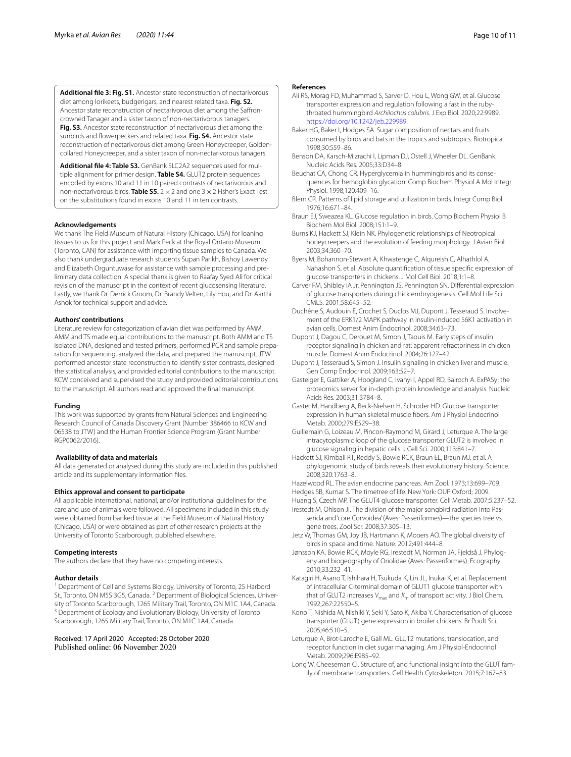**Additional fle 3: Fig. S1.** Ancestor state reconstruction of nectarivorous diet among lorikeets, budgerigars, and nearest related taxa. **Fig. S2.** Ancestor state reconstruction of nectarivorous diet among the Safroncrowned Tanager and a sister taxon of non-nectarivorous tanagers. **Fig. S3.** Ancestor state reconstruction of nectarivorous diet among the sunbirds and fowerpeckers and related taxa. **Fig. S4.** Ancestor state reconstruction of nectarivorous diet among Green Honeycreeper, Goldencollared Honeycreeper, and a sister taxon of non-nectarivorous tanagers.

<span id="page-9-19"></span>**Additional fle 4: Table S3.** GenBank SLC2A2 sequences used for multiple alignment for primer design. **Table S4.** GLUT2 protein sequences encoded by exons 10 and 11 in 10 paired contrasts of nectarivorous and non-nectarivorous birds. **Table S5.** 2×2 and one 3×2 Fisher's Exact Test on the substitutions found in exons 10 and 11 in ten contrasts.

#### **Acknowledgements**

We thank The Field Museum of Natural History (Chicago, USA) for loaning tissues to us for this project and Mark Peck at the Royal Ontario Museum (Toronto, CAN) for assistance with importing tissue samples to Canada. We also thank undergraduate research students Supan Parikh, Bishoy Lawendy and Elizabeth Orguntuwase for assistance with sample processing and preliminary data collection. A special thank is given to Raafay Syed Ali for critical revision of the manuscript in the context of recent glucosensing literature. Lastly, we thank Dr. Derrick Groom, Dr. Brandy Velten, Lily Hou, and Dr. Aarthi Ashok for technical support and advice.

#### **Authors' contributions**

Literature review for categorization of avian diet was performed by AMM. AMM and TS made equal contributions to the manuscript. Both AMM and TS isolated DNA, designed and tested primers, performed PCR and sample preparation for sequencing, analyzed the data, and prepared the manuscript. JTW performed ancestor state reconstruction to identify sister contrasts, designed the statistical analysis, and provided editorial contributions to the manuscript. KCW conceived and supervised the study and provided editorial contributions to the manuscript. All authors read and approved the fnal manuscript.

#### **Funding**

This work was supported by grants from Natural Sciences and Engineering Research Council of Canada Discovery Grant (Number 386466 to KCW and 06538 to JTW) and the Human Frontier Science Program (Grant Number RGP0062/2016).

#### **Availability of data and materials**

All data generated or analysed during this study are included in this published article and its supplementary information fles.

#### **Ethics approval and consent to participate**

All applicable international, national, and/or institutional guidelines for the care and use of animals were followed. All specimens included in this study were obtained from banked tissue at the Field Museum of Natural History (Chicago, USA) or were obtained as part of other research projects at the University of Toronto Scarborough, published elsewhere.

#### **Competing interests**

The authors declare that they have no competing interests.

#### **Author details**

<sup>1</sup> Department of Cell and Systems Biology, University of Toronto, 25 Harbord St., Toronto, ON M5S 3G5, Canada. <sup>2</sup> Department of Biological Sciences, Univer-<br>sity of Toronto Scarborough, 1265 Military Trail, Toronto, ON M1C 1A4, Canada. <sup>3</sup> Department of Ecology and Evolutionary Biology, University of Toronto Scarborough, 1265 Military Trail, Toronto, ON M1C 1A4, Canada.

Received: 17 April 2020 Accepted: 28 October 2020

#### **References**

- <span id="page-9-12"></span>Ali RS, Morag FD, Muhammad S, Sarver D, Hou L, Wong GW, et al. Glucose transporter expression and regulation following a fast in the rubythroated hummingbird *Archilochus colubris*. J Exp Biol. 2020;22:9989. <https://doi.org/10.1242/jeb.229989>.
- <span id="page-9-1"></span>Baker HG, Baker I, Hodges SA. Sugar composition of nectars and fruits consumed by birds and bats in the tropics and subtropics. Biotropica. 1998;30:559–86.
- <span id="page-9-20"></span>Benson DA, Karsch-Mizrachi I, Lipman DJ, Ostell J, Wheeler DL. GenBank. Nucleic Acids Res. 2005;33:D34–8.
- <span id="page-9-23"></span>Beuchat CA, Chong CR. Hyperglycemia in hummingbirds and its consequences for hemoglobin glycation. Comp Biochem Physiol A Mol Integr Physiol. 1998;120:409–16.
- <span id="page-9-25"></span>Blem CR. Patterns of lipid storage and utilization in birds. Integr Comp Biol. 1976;16:671–84.
- <span id="page-9-0"></span>Braun EJ, Sweazea KL. Glucose regulation in birds. Comp Biochem Physiol B Biochem Mol Biol. 2008;151:1–9.
- <span id="page-9-14"></span>Burns KJ, Hackett SJ, Klein NK. Phylogenetic relationships of Neotropical honeycreepers and the evolution of feeding morphology. J Avian Biol. 2003;34:360–70.
- <span id="page-9-10"></span>Byers M, Bohannon-Stewart A, Khwatenge C, Alqureish C, Alhathlol A, Nahashon S, et al. Absolute quantifcation of tissue specifc expression of glucose transporters in chickens. J Mol Cell Biol. 2018;1:1–8.
- <span id="page-9-4"></span>Carver FM, Shibley IA Jr, Pennington JS, Pennington SN. Diferential expression of glucose transporters during chick embryogenesis. Cell Mol Life Sci CMLS. 2001;58:645–52.
- <span id="page-9-7"></span>Duchêne S, Audouin E, Crochet S, Duclos MJ, Dupont J, Tesseraud S. Involvement of the ERK1/2 MAPK pathway in insulin-induced S6K1 activation in avian cells. Domest Anim Endocrinol. 2008;34:63–73.
- <span id="page-9-6"></span>Dupont J, Dagou C, Derouet M, Simon J, Taouis M. Early steps of insulin receptor signaling in chicken and rat: apparent refractoriness in chicken muscle. Domest Anim Endocrinol. 2004;26:127–42.
- <span id="page-9-2"></span>Dupont J, Tesseraud S, Simon J. Insulin signaling in chicken liver and muscle. Gen Comp Endocrinol. 2009;163:52–7.
- <span id="page-9-22"></span>Gasteiger E, Gattiker A, Hoogland C, Ivanyi I, Appel RD, Bairoch A. ExPASy: the proteomics server for in-depth protein knowledge and analysis. Nucleic Acids Res. 2003;31:3784–8.
- <span id="page-9-24"></span>Gaster M, Handberg A, Beck-Nielsen H, Schroder HD. Glucose transporter expression in human skeletal muscle fbers. Am J Physiol Endocrinol Metab. 2000;279:E529–38.
- <span id="page-9-26"></span>Guillemain G, Loizeau M, Pincon-Raymond M, Girard J, Leturque A. The large intracytoplasmic loop of the glucose transporter GLUT2 is involved in glucose signaling in hepatic cells. J Cell Sci. 2000;113:841–7.

<span id="page-9-15"></span>Hackett SJ, Kimball RT, Reddy S, Bowie RCK, Braun EL, Braun MJ, et al. A phylogenomic study of birds reveals their evolutionary history. Science. 2008;320:1763–8.

- <span id="page-9-17"></span><span id="page-9-5"></span>Hazelwood RL. The avian endocrine pancreas. Am Zool. 1973;13:699–709. Hedges SB, Kumar S. The timetree of life. New York: OUP Oxford; 2009.
- <span id="page-9-3"></span>Huang S, Czech MP. The GLUT4 glucose transporter. Cell Metab. 2007;5:237–52.
- <span id="page-9-16"></span>Irestedt M, Ohlson JI. The division of the major songbird radiation into Passerida and 'core Corvoidea' (Aves: Passeriformes)—the species tree vs. gene trees. Zool Scr. 2008;37:305–13.
- <span id="page-9-21"></span>Jetz W, Thomas GM, Joy JB, Hartmann K, Mooers AO. The global diversity of birds in space and time. Nature. 2012;491:444–8.
- <span id="page-9-18"></span>Jønsson KA, Bowie RCK, Moyle RG, Irestedt M, Norman JA, Fjeldså J. Phylogeny and biogeography of Oriolidae (Aves: Passeriformes). Ecography. 2010;33:232–41.
- <span id="page-9-13"></span>Katagiri H, Asano T, Ishihara H, Tsukuda K, Lin JL, Inukai K, et al. Replacement of intracellular C-terminal domain of GLUT1 glucose transporter with that of GLUT2 increases  $V_{\text{max}}$  and  $K_{\text{m}}$  of transport activity. J Biol Chem. 1992;267:22550–5.
- <span id="page-9-9"></span>Kono T, Nishida M, Nishiki Y, Seki Y, Sato K, Akiba Y. Characterisation of glucose transporter (GLUT) gene expression in broiler chickens. Br Poult Sci. 2005;46:510–5.
- <span id="page-9-11"></span>Leturque A, Brot-Laroche E, Gall ML. GLUT2 mutations, translocation, and receptor function in diet sugar managing. Am J Physiol-Endocrinol Metab. 2009;296:E985–92.
- <span id="page-9-8"></span>Long W, Cheeseman CI. Structure of, and functional insight into the GLUT family of membrane transporters. Cell Health Cytoskeleton. 2015;7:167–83.